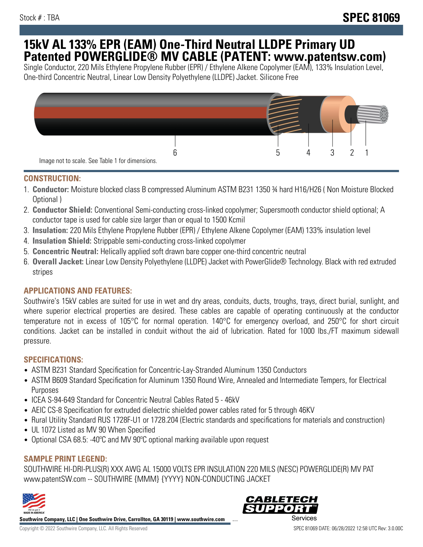## **15kV AL 133% EPR (EAM) One-Third Neutral LLDPE Primary UD Patented POWERGLIDE® MV CABLE (PATENT: www.patentsw.com)**

Single Conductor, 220 Mils Ethylene Propylene Rubber (EPR) / Ethylene Alkene Copolymer (EAM), 133% Insulation Level, One-third Concentric Neutral, Linear Low Density Polyethylene (LLDPE) Jacket. Silicone Free



## **CONSTRUCTION:**

- 1. **Conductor:** Moisture blocked class B compressed Aluminum ASTM B231 1350 ¾ hard H16/H26 ( Non Moisture Blocked Optional )
- 2. **Conductor Shield:** Conventional Semi-conducting cross-linked copolymer; Supersmooth conductor shield optional; A conductor tape is used for cable size larger than or equal to 1500 Kcmil
- 3. **Insulation:** 220 Mils Ethylene Propylene Rubber (EPR) / Ethylene Alkene Copolymer (EAM) 133% insulation level
- 4. **Insulation Shield:** Strippable semi-conducting cross-linked copolymer
- 5. **Concentric Neutral:** Helically applied soft drawn bare copper one-third concentric neutral
- 6. **Overall Jacket:** Linear Low Density Polyethylene (LLDPE) Jacket with PowerGlide® Technology. Black with red extruded stripes

## **APPLICATIONS AND FEATURES:**

Southwire's 15kV cables are suited for use in wet and dry areas, conduits, ducts, troughs, trays, direct burial, sunlight, and where superior electrical properties are desired. These cables are capable of operating continuously at the conductor temperature not in excess of 105°C for normal operation. 140°C for emergency overload, and 250°C for short circuit conditions. Jacket can be installed in conduit without the aid of lubrication. Rated for 1000 lbs./FT maximum sidewall pressure.

### **SPECIFICATIONS:**

- ASTM B231 Standard Specification for Concentric-Lay-Stranded Aluminum 1350 Conductors
- ASTM B609 Standard Specification for Aluminum 1350 Round Wire, Annealed and Intermediate Tempers, for Electrical Purposes
- ICEA S-94-649 Standard for Concentric Neutral Cables Rated 5 46kV
- AEIC CS-8 Specification for extruded dielectric shielded power cables rated for 5 through 46KV
- Rural Utility Standard RUS 1728F-U1 or 1728.204 (Electric standards and specifications for materials and construction)
- UL 1072 Listed as MV 90 When Specified
- Optional CSA 68.5: -40°C and MV 90°C optional marking available upon request

## **SAMPLE PRINT LEGEND:**

SOUTHWIRE HI-DRI-PLUS(R) XXX AWG AL 15000 VOLTS EPR INSULATION 220 MILS (NESC) POWERGLIDE(R) MV PAT www.patentSW.com -- SOUTHWIRE {MMM} {YYYY} NON-CONDUCTING JACKET



**Southwire Company, LLC | One Southwire Drive, Carrollton, GA 30119 | www.southwire.com** ...